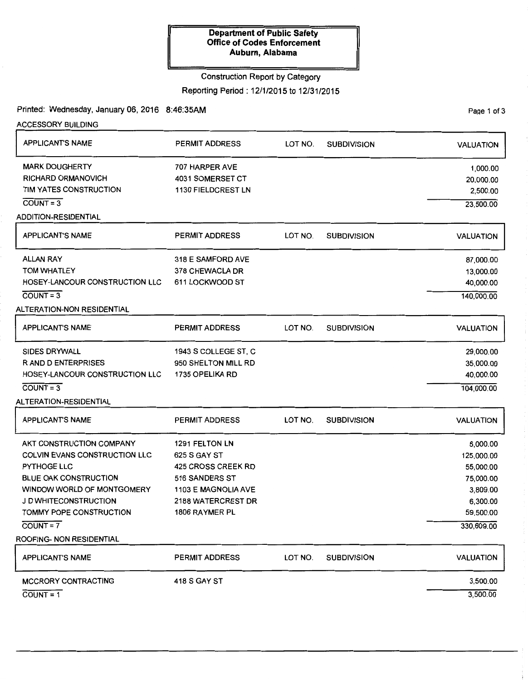## Construction Report by Category

Reporting Period: 12/1/2015 to 12/31/2015

Printed: Wednesday, January 06, 2016 8:46:35AM Page 1 of 3

| <b>ACCESSORY BUILDING</b>      |                           |         |                    |                  |
|--------------------------------|---------------------------|---------|--------------------|------------------|
| <b>APPLICANT'S NAME</b>        | <b>PERMIT ADDRESS</b>     | LOT NO. | <b>SUBDIVISION</b> | <b>VALUATION</b> |
| <b>MARK DOUGHERTY</b>          | 707 HARPER AVE            |         |                    | 1,000.00         |
| <b>RICHARD ORMANOVICH</b>      | 4031 SOMERSET CT          |         |                    | 20,000.00        |
| TIM YATES CONSTRUCTION         | 1130 FIELDCREST LN        |         |                    | 2,500.00         |
| $COUNT = 3$                    |                           |         |                    | 23,500.00        |
| <b>ADDITION-RESIDENTIAL</b>    |                           |         |                    |                  |
| <b>APPLICANT'S NAME</b>        | <b>PERMIT ADDRESS</b>     | LOT NO. | <b>SUBDIVISION</b> | <b>VALUATION</b> |
| <b>ALLAN RAY</b>               | 318 E SAMFORD AVE         |         |                    | 87,000.00        |
| <b>TOM WHATLEY</b>             | 378 CHEWACLA DR           |         |                    | 13,000.00        |
| HOSEY-LANCOUR CONSTRUCTION LLC | 611 LOCKWOOD ST           |         |                    | 40,000.00        |
| $COUNT = 3$                    |                           |         |                    | 140,000.00       |
| ALTERATION-NON RESIDENTIAL     |                           |         |                    |                  |
| <b>APPLICANT'S NAME</b>        | <b>PERMIT ADDRESS</b>     | LOT NO. | <b>SUBDIVISION</b> | <b>VALUATION</b> |
| <b>SIDES DRYWALL</b>           | 1943 S COLLEGE ST, C      |         |                    | 29,000.00        |
| <b>RAND DENTERPRISES</b>       | 950 SHELTON MILL RD       |         |                    | 35,000.00        |
| HOSEY-LANCOUR CONSTRUCTION LLC | 1735 OPELIKA RD           |         |                    | 40,000.00        |
| $COUNT = 3$                    |                           |         |                    | 104,000.00       |
| ALTERATION-RESIDENTIAL         |                           |         |                    |                  |
| <b>APPLICANT'S NAME</b>        | <b>PERMIT ADDRESS</b>     | LOT NO. | <b>SUBDIVISION</b> | <b>VALUATION</b> |
| AKT CONSTRUCTION COMPANY       | 1291 FELTON LN            |         |                    | 6,000.00         |
| COLVIN EVANS CONSTRUCTION LLC  | 625 S GAY ST              |         |                    | 125,000.00       |
| PYTHOGE LLC                    | 425 CROSS CREEK RD        |         |                    | 55,000.00        |
| <b>BLUE OAK CONSTRUCTION</b>   | 516 SANDERS ST            |         |                    | 75,000.00        |
| WINDOW WORLD OF MONTGOMERY     | 1103 E MAGNOLIA AVE       |         |                    | 3,809.00         |
| J D WHITECONSTRUCTION          | <b>2188 WATERCREST DR</b> |         |                    | 6,300.00         |
| TOMMY POPE CONSTRUCTION        | 1806 RAYMER PL            |         |                    | 59,500.00        |
| $COUNT = 7$                    |                           |         |                    | 330,609.00       |
| ROOFING- NON RESIDENTIAL       |                           |         |                    |                  |
| <b>APPLICANT'S NAME</b>        | <b>PERMIT ADDRESS</b>     | LOT NO. | <b>SUBDIVISION</b> | <b>VALUATION</b> |
| <b>MCCRORY CONTRACTING</b>     | <b>418 S GAY ST</b>       |         |                    | 3,500.00         |
| $COUNT = 1$                    |                           |         |                    | 3,500.00         |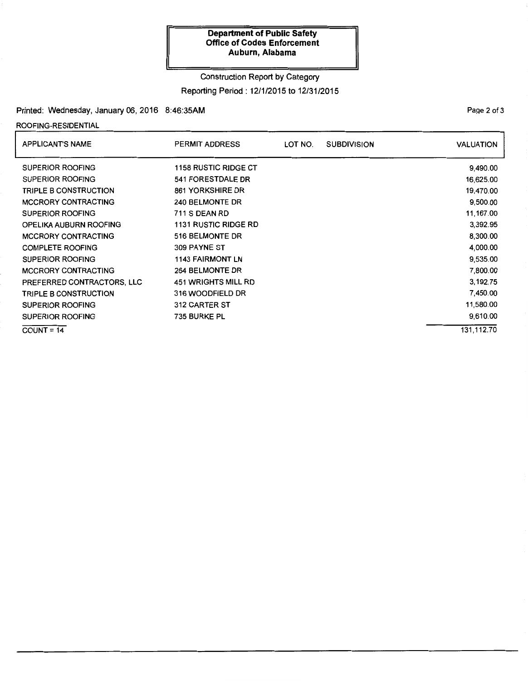# Construction Report by Category

Reporting Period: 12/1/2015 to 12/31/2015

## Printed: Wednesday, January 06, 2016 8:46:35AM

ROOFING-RESIDENTIAL

| <b>APPLICANT'S NAME</b>      | <b>PERMIT ADDRESS</b>       | LOT NO. | <b>SUBDIVISION</b> | <b>VALUATION</b> |
|------------------------------|-----------------------------|---------|--------------------|------------------|
| <b>SUPERIOR ROOFING</b>      | <b>1158 RUSTIC RIDGE CT</b> |         |                    | 9,490.00         |
| <b>SUPERIOR ROOFING</b>      | 541 FORESTDALE DR           |         |                    | 16,625.00        |
| <b>TRIPLE B CONSTRUCTION</b> | <b>861 YORKSHIRE DR</b>     |         |                    | 19,470.00        |
| <b>MCCRORY CONTRACTING</b>   | 240 BELMONTE DR             |         |                    | 9,500.00         |
| <b>SUPERIOR ROOFING</b>      | <b>711 S DEAN RD</b>        |         |                    | 11,167.00        |
| OPELIKA AUBURN ROOFING       | <b>1131 RUSTIC RIDGE RD</b> |         |                    | 3,392.95         |
| MCCRORY CONTRACTING          | 516 BELMONTE DR             |         |                    | 8,300.00         |
| <b>COMPLETE ROOFING</b>      | 309 PAYNE ST                |         |                    | 4,000.00         |
| <b>SUPERIOR ROOFING</b>      | <b>1143 FAIRMONT LN</b>     |         |                    | 9,535.00         |
| <b>MCCRORY CONTRACTING</b>   | 264 BELMONTE DR             |         |                    | 7,800.00         |
| PREFERRED CONTRACTORS, LLC   | <b>451 WRIGHTS MILL RD</b>  |         |                    | 3.192.75         |
| <b>TRIPLE B CONSTRUCTION</b> | 316 WOODFIELD DR            |         |                    | 7,450.00         |
| <b>SUPERIOR ROOFING</b>      | 312 CARTER ST               |         |                    | 11,580.00        |
| <b>SUPERIOR ROOFING</b>      | 735 BURKE PL                |         |                    | 9,610.00         |
| $COUNT = 14$                 |                             |         |                    | 131,112.70       |

PaQe 2 of 3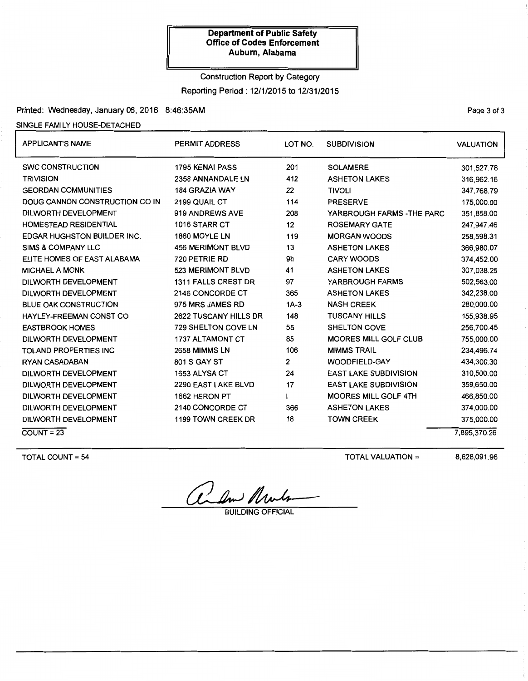# Construction Report by Category Reporting Period: 12/1/2015 to 12/31/2015

## Printed: Wednesday, January 06, 2016 8:46:35AM

### SINGLE FAMILY HOUSE-DETACHED

| <b>APPLICANT'S NAME</b>            | <b>PERMIT ADDRESS</b>    | LOT NO. | <b>SUBDIVISION</b>           | <b>VALUATION</b> |
|------------------------------------|--------------------------|---------|------------------------------|------------------|
| <b>SWC CONSTRUCTION</b>            | <b>1795 KENAI PASS</b>   | 201     | <b>SOLAMERE</b>              | 301,527.78       |
| <b>TRIVISION</b>                   | 2358 ANNANDALE LN        | 412     | <b>ASHETON LAKES</b>         | 316,962.16       |
| <b>GEORDAN COMMUNITIES</b>         | <b>184 GRAZIA WAY</b>    | 22      | <b>TIVOLI</b>                | 347,768.79       |
| DOUG CANNON CONSTRUCTION CO IN     | 2199 QUAIL CT            | 114     | <b>PRESERVE</b>              | 175,000.00       |
| DILWORTH DEVELOPMENT               | 919 ANDREWS AVE          | 208     | YARBROUGH FARMS - THE PARC   | 351,858.00       |
| <b>HOMESTEAD RESIDENTIAL</b>       | 1016 STARR CT            | 12      | <b>ROSEMARY GATE</b>         | 247,947.46       |
| <b>EDGAR HUGHSTON BUILDER INC.</b> | 1860 MOYLE LN            | 119     | <b>MORGAN WOODS</b>          | 258,598.31       |
| <b>SIMS &amp; COMPANY LLC</b>      | <b>456 MERIMONT BLVD</b> | 13      | <b>ASHETON LAKES</b>         | 366,980.07       |
| ELITE HOMES OF EAST ALABAMA        | 720 PETRIE RD            | 9h      | <b>CARY WOODS</b>            | 374,452.00       |
| <b>MICHAEL A MONK</b>              | 523 MERIMONT BLVD        | 41      | <b>ASHETON LAKES</b>         | 307,038.25       |
| DILWORTH DEVELOPMENT               | 1311 FALLS CREST DR      | 97      | YARBROUGH FARMS              | 502,563.00       |
| DILWORTH DEVELOPMENT               | 2146 CONCORDE CT         | 365     | <b>ASHETON LAKES</b>         | 342,238.00       |
| <b>BLUE OAK CONSTRUCTION</b>       | 975 MRS JAMES RD         | $1A-3$  | <b>NASH CREEK</b>            | 280,000.00       |
| HAYLEY-FREEMAN CONST CO            | 2622 TUSCANY HILLS DR    | 148     | <b>TUSCANY HILLS</b>         | 155,938.95       |
| <b>EASTBROOK HOMES</b>             | 729 SHELTON COVE LN      | 55      | SHELTON COVE                 | 256,700.45       |
| DILWORTH DEVELOPMENT               | 1737 ALTAMONT CT         | 85      | <b>MOORES MILL GOLF CLUB</b> | 755,000.00       |
| <b>TOLAND PROPERTIES INC</b>       | 2658 MIMMS LN            | 106     | <b>MIMMS TRAIL</b>           | 234,496.74       |
| <b>RYAN CASADABAN</b>              | 801 S GAY ST             | 2       | <b>WOODFIELD-GAY</b>         | 434,300.30       |
| DILWORTH DEVELOPMENT               | 1653 ALYSA CT            | 24      | <b>EAST LAKE SUBDIVISION</b> | 310,500.00       |
| DILWORTH DEVELOPMENT               | 2290 EAST LAKE BLVD      | 17      | <b>EAST LAKE SUBDIVISION</b> | 359,650.00       |
| DILWORTH DEVELOPMENT               | 1662 HERON PT            |         | <b>MOORES MILL GOLF 4TH</b>  | 466,850.00       |
| DILWORTH DEVELOPMENT               | 2140 CONCORDE CT         | 366     | <b>ASHETON LAKES</b>         | 374,000.00       |
| DILWORTH DEVELOPMENT               | 1199 TOWN CREEK DR       | 18      | <b>TOWN CREEK</b>            | 375,000.00       |
| $COUNT = 23$                       |                          |         |                              | 7,895,370.26     |

TOTAL COUNT= 54

TOTAL VALUATION =

8,628,091.96

and Mult

Page 3 of 3